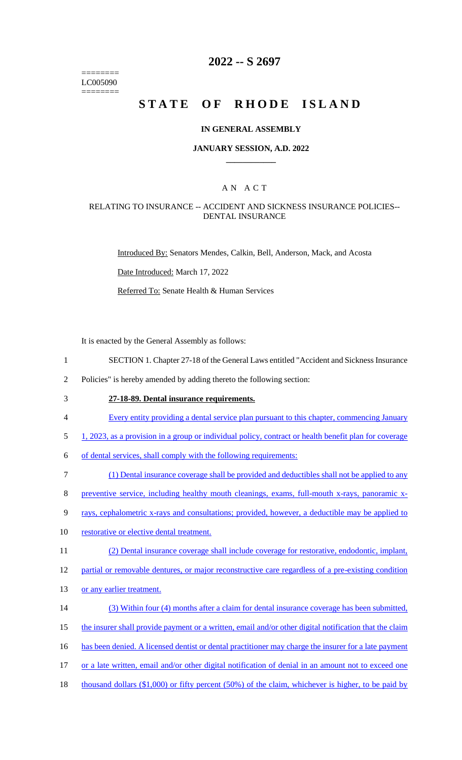======== LC005090 ========

### **2022 -- S 2697**

# **STATE OF RHODE ISLAND**

### **IN GENERAL ASSEMBLY**

### **JANUARY SESSION, A.D. 2022 \_\_\_\_\_\_\_\_\_\_\_\_**

### A N A C T

### RELATING TO INSURANCE -- ACCIDENT AND SICKNESS INSURANCE POLICIES-- DENTAL INSURANCE

Introduced By: Senators Mendes, Calkin, Bell, Anderson, Mack, and Acosta

Date Introduced: March 17, 2022

Referred To: Senate Health & Human Services

It is enacted by the General Assembly as follows:

- 1 SECTION 1. Chapter 27-18 of the General Laws entitled "Accident and Sickness Insurance
- 2 Policies" is hereby amended by adding thereto the following section:
- 

## 3 **27-18-89. Dental insurance requirements.**

- 4 Every entity providing a dental service plan pursuant to this chapter, commencing January
- 5 1, 2023, as a provision in a group or individual policy, contract or health benefit plan for coverage
- 6 of dental services, shall comply with the following requirements:
- 7 (1) Dental insurance coverage shall be provided and deductibles shall not be applied to any
- 8 preventive service, including healthy mouth cleanings, exams, full-mouth x-rays, panoramic x-
- 9 rays, cephalometric x-rays and consultations; provided, however, a deductible may be applied to
- 10 restorative or elective dental treatment.
- 11 (2) Dental insurance coverage shall include coverage for restorative, endodontic, implant,

12 partial or removable dentures, or major reconstructive care regardless of a pre-existing condition

- 13 or any earlier treatment.
- 14 (3) Within four (4) months after a claim for dental insurance coverage has been submitted,
- 15 the insurer shall provide payment or a written, email and/or other digital notification that the claim
- 16 has been denied. A licensed dentist or dental practitioner may charge the insurer for a late payment
- 17 or a late written, email and/or other digital notification of denial in an amount not to exceed one
- 18 thousand dollars (\$1,000) or fifty percent (50%) of the claim, whichever is higher, to be paid by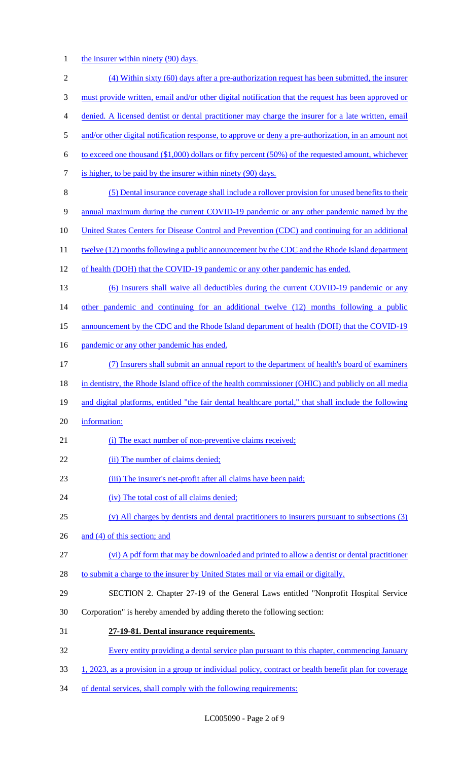1 the insurer within ninety (90) days.

| $\mathfrak{2}$ | (4) Within sixty (60) days after a pre-authorization request has been submitted, the insurer          |
|----------------|-------------------------------------------------------------------------------------------------------|
| 3              | must provide written, email and/or other digital notification that the request has been approved or   |
| 4              | denied. A licensed dentist or dental practitioner may charge the insurer for a late written, email    |
| 5              | and/or other digital notification response, to approve or deny a pre-authorization, in an amount not  |
| 6              | to exceed one thousand $(\$1,000)$ dollars or fifty percent (50%) of the requested amount, whichever  |
| 7              | is higher, to be paid by the insurer within ninety (90) days.                                         |
| 8              | (5) Dental insurance coverage shall include a rollover provision for unused benefits to their         |
| 9              | annual maximum during the current COVID-19 pandemic or any other pandemic named by the                |
| 10             | United States Centers for Disease Control and Prevention (CDC) and continuing for an additional       |
| 11             | twelve (12) months following a public announcement by the CDC and the Rhode Island department         |
| 12             | of health (DOH) that the COVID-19 pandemic or any other pandemic has ended.                           |
| 13             | (6) Insurers shall waive all deductibles during the current COVID-19 pandemic or any                  |
| 14             | other pandemic and continuing for an additional twelve (12) months following a public                 |
| 15             | announcement by the CDC and the Rhode Island department of health (DOH) that the COVID-19             |
| 16             | pandemic or any other pandemic has ended.                                                             |
| 17             | (7) Insurers shall submit an annual report to the department of health's board of examiners           |
| 18             | in dentistry, the Rhode Island office of the health commissioner (OHIC) and publicly on all media     |
| 19             | and digital platforms, entitled "the fair dental healthcare portal," that shall include the following |
| 20             | information:                                                                                          |
| 21             | (i) The exact number of non-preventive claims received;                                               |
| 22             | (ii) The number of claims denied;                                                                     |
| 23             | (iii) The insurer's net-profit after all claims have been paid;                                       |
| 24             | (iv) The total cost of all claims denied;                                                             |
| 25             | (v) All charges by dentists and dental practitioners to insurers pursuant to subsections (3)          |
| 26             | and (4) of this section; and                                                                          |
| 27             | (vi) A pdf form that may be downloaded and printed to allow a dentist or dental practitioner          |
| 28             | to submit a charge to the insurer by United States mail or via email or digitally.                    |
| 29             | SECTION 2. Chapter 27-19 of the General Laws entitled "Nonprofit Hospital Service                     |
| 30             | Corporation" is hereby amended by adding thereto the following section:                               |
| 31             | 27-19-81. Dental insurance requirements.                                                              |
| 32             | Every entity providing a dental service plan pursuant to this chapter, commencing January             |
| 33             | 1, 2023, as a provision in a group or individual policy, contract or health benefit plan for coverage |

34 of dental services, shall comply with the following requirements: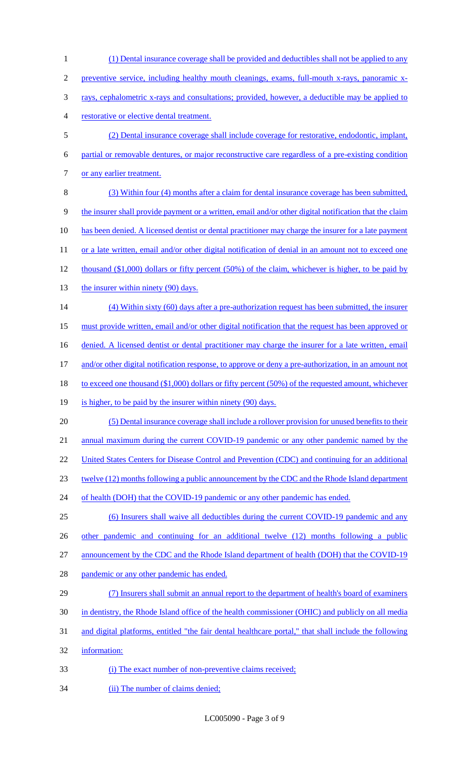(1) Dental insurance coverage shall be provided and deductibles shall not be applied to any preventive service, including healthy mouth cleanings, exams, full-mouth x-rays, panoramic x- rays, cephalometric x-rays and consultations; provided, however, a deductible may be applied to restorative or elective dental treatment. (2) Dental insurance coverage shall include coverage for restorative, endodontic, implant, partial or removable dentures, or major reconstructive care regardless of a pre-existing condition 7 or any earlier treatment. (3) Within four (4) months after a claim for dental insurance coverage has been submitted, the insurer shall provide payment or a written, email and/or other digital notification that the claim has been denied. A licensed dentist or dental practitioner may charge the insurer for a late payment 11 or a late written, email and/or other digital notification of denial in an amount not to exceed one thousand (\$1,000) dollars or fifty percent (50%) of the claim, whichever is higher, to be paid by 13 the insurer within ninety (90) days. (4) Within sixty (60) days after a pre-authorization request has been submitted, the insurer must provide written, email and/or other digital notification that the request has been approved or 16 denied. A licensed dentist or dental practitioner may charge the insurer for a late written, email and/or other digital notification response, to approve or deny a pre-authorization, in an amount not 18 to exceed one thousand (\$1,000) dollars or fifty percent (50%) of the requested amount, whichever 19 is higher, to be paid by the insurer within ninety (90) days. (5) Dental insurance coverage shall include a rollover provision for unused benefits to their 21 annual maximum during the current COVID-19 pandemic or any other pandemic named by the 22 United States Centers for Disease Control and Prevention (CDC) and continuing for an additional twelve (12) months following a public announcement by the CDC and the Rhode Island department 24 of health (DOH) that the COVID-19 pandemic or any other pandemic has ended. (6) Insurers shall waive all deductibles during the current COVID-19 pandemic and any 26 other pandemic and continuing for an additional twelve (12) months following a public 27 announcement by the CDC and the Rhode Island department of health (DOH) that the COVID-19 28 pandemic or any other pandemic has ended. (7) Insurers shall submit an annual report to the department of health's board of examiners in dentistry, the Rhode Island office of the health commissioner (OHIC) and publicly on all media and digital platforms, entitled "the fair dental healthcare portal," that shall include the following information: (i) The exact number of non-preventive claims received; 34 (ii) The number of claims denied;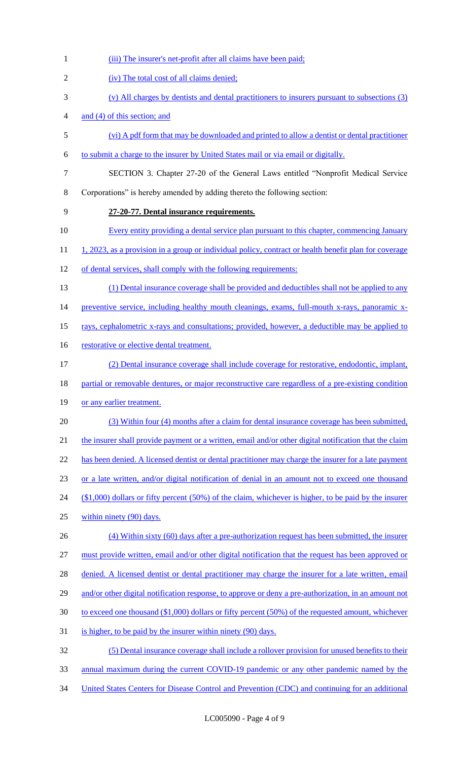(iv) The total cost of all claims denied; (v) All charges by dentists and dental practitioners to insurers pursuant to subsections (3) and (4) of this section; and (vi) A pdf form that may be downloaded and printed to allow a dentist or dental practitioner to submit a charge to the insurer by United States mail or via email or digitally. SECTION 3. Chapter 27-20 of the General Laws entitled "Nonprofit Medical Service Corporations" is hereby amended by adding thereto the following section: **27-20-77. Dental insurance requirements.** 10 Every entity providing a dental service plan pursuant to this chapter, commencing January 11 1, 2023, as a provision in a group or individual policy, contract or health benefit plan for coverage of dental services, shall comply with the following requirements: (1) Dental insurance coverage shall be provided and deductibles shall not be applied to any 14 preventive service, including healthy mouth cleanings, exams, full-mouth x-rays, panoramic x- rays, cephalometric x-rays and consultations; provided, however, a deductible may be applied to 16 restorative or elective dental treatment. (2) Dental insurance coverage shall include coverage for restorative, endodontic, implant, 18 partial or removable dentures, or major reconstructive care regardless of a pre-existing condition 19 or any earlier treatment. (3) Within four (4) months after a claim for dental insurance coverage has been submitted, 21 the insurer shall provide payment or a written, email and/or other digital notification that the claim 22 has been denied. A licensed dentist or dental practitioner may charge the insurer for a late payment or a late written, and/or digital notification of denial in an amount not to exceed one thousand (\$1,000) dollars or fifty percent (50%) of the claim, whichever is higher, to be paid by the insurer within ninety (90) days. (4) Within sixty (60) days after a pre-authorization request has been submitted, the insurer must provide written, email and/or other digital notification that the request has been approved or 28 denied. A licensed dentist or dental practitioner may charge the insurer for a late written, email 29 and/or other digital notification response, to approve or deny a pre-authorization, in an amount not to exceed one thousand (\$1,000) dollars or fifty percent (50%) of the requested amount, whichever 31 is higher, to be paid by the insurer within ninety (90) days. (5) Dental insurance coverage shall include a rollover provision for unused benefits to their annual maximum during the current COVID-19 pandemic or any other pandemic named by the United States Centers for Disease Control and Prevention (CDC) and continuing for an additional

1 (iii) The insurer's net-profit after all claims have been paid;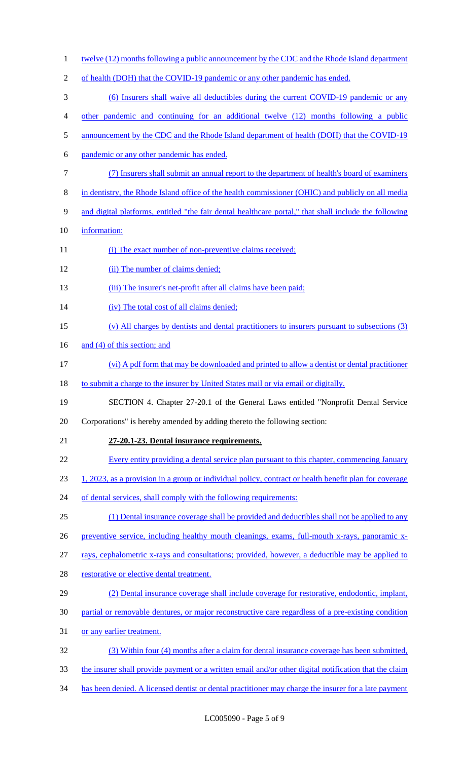1 twelve (12) months following a public announcement by the CDC and the Rhode Island department 2 of health (DOH) that the COVID-19 pandemic or any other pandemic has ended. (6) Insurers shall waive all deductibles during the current COVID-19 pandemic or any other pandemic and continuing for an additional twelve (12) months following a public 5 announcement by the CDC and the Rhode Island department of health (DOH) that the COVID-19 pandemic or any other pandemic has ended. (7) Insurers shall submit an annual report to the department of health's board of examiners in dentistry, the Rhode Island office of the health commissioner (OHIC) and publicly on all media and digital platforms, entitled "the fair dental healthcare portal," that shall include the following information: 11 (i) The exact number of non-preventive claims received; 12 (ii) The number of claims denied; 13 (iii) The insurer's net-profit after all claims have been paid; (iv) The total cost of all claims denied; (v) All charges by dentists and dental practitioners to insurers pursuant to subsections (3) 16 and (4) of this section; and (vi) A pdf form that may be downloaded and printed to allow a dentist or dental practitioner 18 to submit a charge to the insurer by United States mail or via email or digitally. SECTION 4. Chapter 27-20.1 of the General Laws entitled "Nonprofit Dental Service Corporations" is hereby amended by adding thereto the following section: **27-20.1-23. Dental insurance requirements.** Every entity providing a dental service plan pursuant to this chapter, commencing January 1, 2023, as a provision in a group or individual policy, contract or health benefit plan for coverage 24 of dental services, shall comply with the following requirements: (1) Dental insurance coverage shall be provided and deductibles shall not be applied to any preventive service, including healthy mouth cleanings, exams, full-mouth x-rays, panoramic x- rays, cephalometric x-rays and consultations; provided, however, a deductible may be applied to 28 restorative or elective dental treatment. (2) Dental insurance coverage shall include coverage for restorative, endodontic, implant, partial or removable dentures, or major reconstructive care regardless of a pre-existing condition or any earlier treatment. (3) Within four (4) months after a claim for dental insurance coverage has been submitted, the insurer shall provide payment or a written email and/or other digital notification that the claim has been denied. A licensed dentist or dental practitioner may charge the insurer for a late payment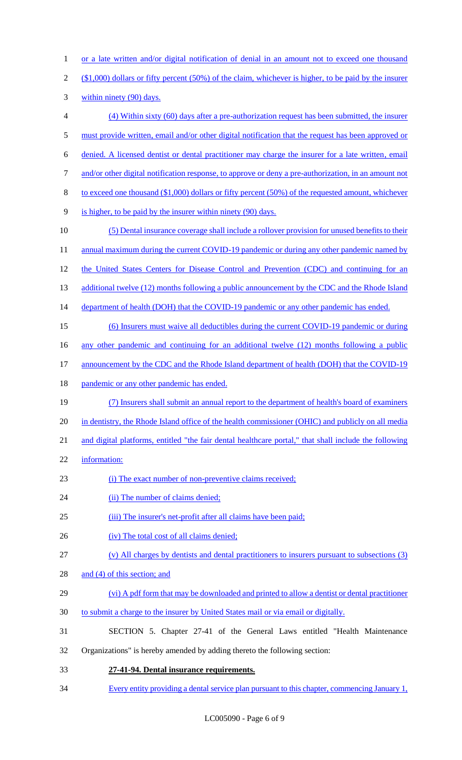1 or a late written and/or digital notification of denial in an amount not to exceed one thousand (\$1,000) dollars or fifty percent (50%) of the claim, whichever is higher, to be paid by the insurer within ninety (90) days. (4) Within sixty (60) days after a pre-authorization request has been submitted, the insurer must provide written, email and/or other digital notification that the request has been approved or denied. A licensed dentist or dental practitioner may charge the insurer for a late written, email and/or other digital notification response, to approve or deny a pre-authorization, in an amount not to exceed one thousand (\$1,000) dollars or fifty percent (50%) of the requested amount, whichever is higher, to be paid by the insurer within ninety (90) days. (5) Dental insurance coverage shall include a rollover provision for unused benefits to their 11 annual maximum during the current COVID-19 pandemic or during any other pandemic named by 12 the United States Centers for Disease Control and Prevention (CDC) and continuing for an 13 additional twelve (12) months following a public announcement by the CDC and the Rhode Island 14 department of health (DOH) that the COVID-19 pandemic or any other pandemic has ended. (6) Insurers must waive all deductibles during the current COVID-19 pandemic or during 16 any other pandemic and continuing for an additional twelve (12) months following a public 17 announcement by the CDC and the Rhode Island department of health (DOH) that the COVID-19 18 pandemic or any other pandemic has ended. (7) Insurers shall submit an annual report to the department of health's board of examiners in dentistry, the Rhode Island office of the health commissioner (OHIC) and publicly on all media and digital platforms, entitled "the fair dental healthcare portal," that shall include the following information: 23 (i) The exact number of non-preventive claims received; 24 (ii) The number of claims denied; (iii) The insurer's net-profit after all claims have been paid; 26 (iv) The total cost of all claims denied; (v) All charges by dentists and dental practitioners to insurers pursuant to subsections (3) 28 and (4) of this section; and (vi) A pdf form that may be downloaded and printed to allow a dentist or dental practitioner to submit a charge to the insurer by United States mail or via email or digitally. SECTION 5. Chapter 27-41 of the General Laws entitled "Health Maintenance Organizations" is hereby amended by adding thereto the following section: **27-41-94. Dental insurance requirements.** Every entity providing a dental service plan pursuant to this chapter, commencing January 1,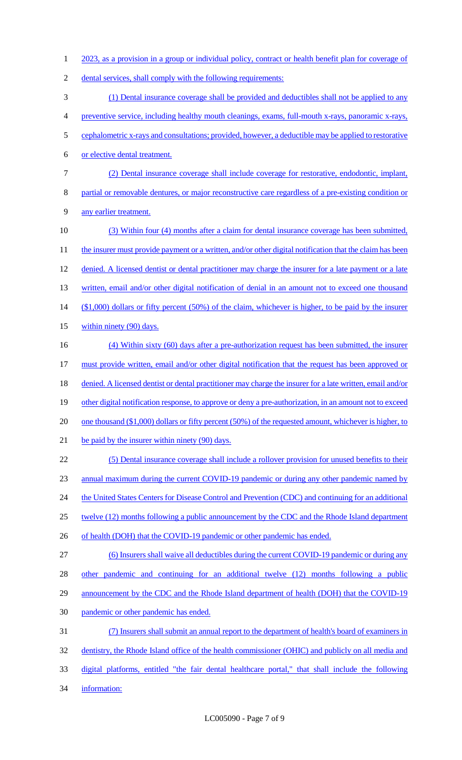1 2023, as a provision in a group or individual policy, contract or health benefit plan for coverage of 2 dental services, shall comply with the following requirements: 3 (1) Dental insurance coverage shall be provided and deductibles shall not be applied to any 4 preventive service, including healthy mouth cleanings, exams, full-mouth x-rays, panoramic x-rays, 5 cephalometric x-rays and consultations; provided, however, a deductible may be applied to restorative 6 or elective dental treatment. 7 (2) Dental insurance coverage shall include coverage for restorative, endodontic, implant, 8 partial or removable dentures, or major reconstructive care regardless of a pre-existing condition or 9 any earlier treatment. 10 (3) Within four (4) months after a claim for dental insurance coverage has been submitted, 11 the insurer must provide payment or a written, and/or other digital notification that the claim has been 12 denied. A licensed dentist or dental practitioner may charge the insurer for a late payment or a late 13 written, email and/or other digital notification of denial in an amount not to exceed one thousand 14 (\$1,000) dollars or fifty percent (50%) of the claim, whichever is higher, to be paid by the insurer 15 within ninety (90) days. 16 (4) Within sixty (60) days after a pre-authorization request has been submitted, the insurer 17 must provide written, email and/or other digital notification that the request has been approved or 18 denied. A licensed dentist or dental practitioner may charge the insurer for a late written, email and/or 19 other digital notification response, to approve or deny a pre-authorization, in an amount not to exceed 20 one thousand (\$1,000) dollars or fifty percent (50%) of the requested amount, whichever is higher, to 21 be paid by the insurer within ninety (90) days. 22 (5) Dental insurance coverage shall include a rollover provision for unused benefits to their 23 annual maximum during the current COVID-19 pandemic or during any other pandemic named by 24 the United States Centers for Disease Control and Prevention (CDC) and continuing for an additional 25 twelve (12) months following a public announcement by the CDC and the Rhode Island department 26 of health (DOH) that the COVID-19 pandemic or other pandemic has ended. 27 (6) Insurers shall waive all deductibles during the current COVID-19 pandemic or during any 28 other pandemic and continuing for an additional twelve (12) months following a public 29 announcement by the CDC and the Rhode Island department of health (DOH) that the COVID-19 30 pandemic or other pandemic has ended. 31 (7) Insurers shall submit an annual report to the department of health's board of examiners in 32 dentistry, the Rhode Island office of the health commissioner (OHIC) and publicly on all media and 33 digital platforms, entitled "the fair dental healthcare portal," that shall include the following 34 information: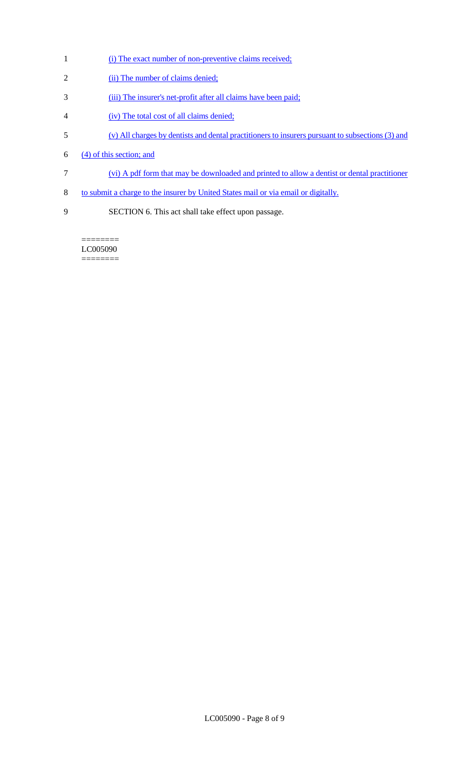- 1 (i) The exact number of non-preventive claims received;
- 2 (ii) The number of claims denied;
- 3 (iii) The insurer's net-profit after all claims have been paid;
- 4 (iv) The total cost of all claims denied;
- 5 (v) All charges by dentists and dental practitioners to insurers pursuant to subsections (3) and
- 6  $(4)$  of this section; and
- 7 (vi) A pdf form that may be downloaded and printed to allow a dentist or dental practitioner
- 8 to submit a charge to the insurer by United States mail or via email or digitally.
- 9 SECTION 6. This act shall take effect upon passage.

======== LC005090 ========